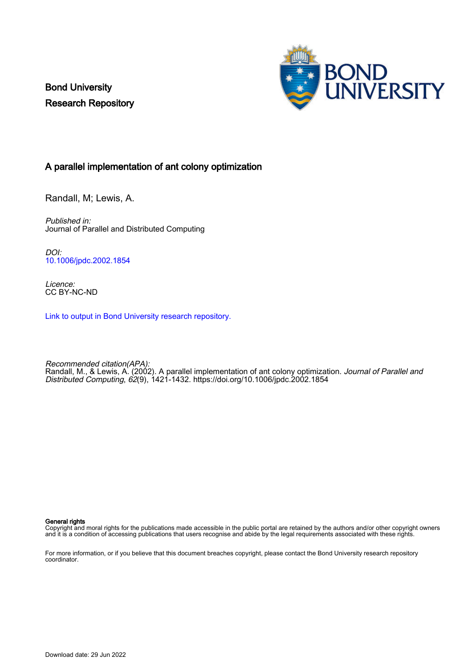Bond University Research Repository



## A parallel implementation of ant colony optimization

Randall, M; Lewis, A.

Published in: Journal of Parallel and Distributed Computing

DOI: [10.1006/jpdc.2002.1854](https://doi.org/10.1006/jpdc.2002.1854)

Licence: CC BY-NC-ND

[Link to output in Bond University research repository.](https://research.bond.edu.au/en/publications/71ecb091-b67b-436f-900e-b1e7524ca85e)

Recommended citation(APA): Randall, M., & Lewis, A. (2002). A parallel implementation of ant colony optimization. *Journal of Parallel and* Distributed Computing, 62(9), 1421-1432. <https://doi.org/10.1006/jpdc.2002.1854>

#### General rights

Copyright and moral rights for the publications made accessible in the public portal are retained by the authors and/or other copyright owners and it is a condition of accessing publications that users recognise and abide by the legal requirements associated with these rights.

For more information, or if you believe that this document breaches copyright, please contact the Bond University research repository coordinator.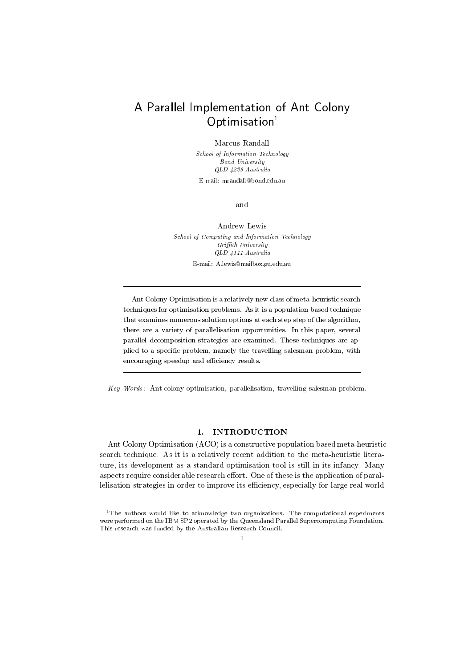# A Parallel Implementation of Ant Colony  $Optimisation<sup>1</sup>$

Marcus Randall

School of Information Technology Bond University QLD 4229 Australia E-mail: mrandall@bond.edu.au

and

Andrew Lewis School of Computing and Information Technology Griffith University QLD 4111 Australia E-mail: A.lewis@mailbox.gu.edu.au

Ant Colony Optimisation is a relatively new class of meta-heuristic search techniques for optimisation problems. As it is a population based technique that examines numerous solution options at each step step of the algorithm, there are a variety of parallelisation opportunities. In this paper, several parallel decomposition strategies are examined. These techniques are applied to a specic problem, namely the travelling salesman problem, with encouraging speedup and efficiency results.

 $Key\ Words:$  Ant colony optimisation, parallelisation, travelling salesman problem.

### 1. INTRODUCTION

Ant Colony Optimisation (ACO) is a constructive population based meta-heuristic search technique. As it is a relatively recent addition to the meta-heuristic literature, its development as a standard optimisation tool is still in its infancy. Many aspects require considerable research effort. One of these is the application of parallelisation strategies in order to improve its efficiency, especially for large real world

<sup>&</sup>lt;sup>1</sup>The authors would like to acknowledge two organisations. The computational experiments were performed on the IBM SP2 operated by the Queensland Parallel Supercomputing Foundation. This research was funded by the Australian Research Council.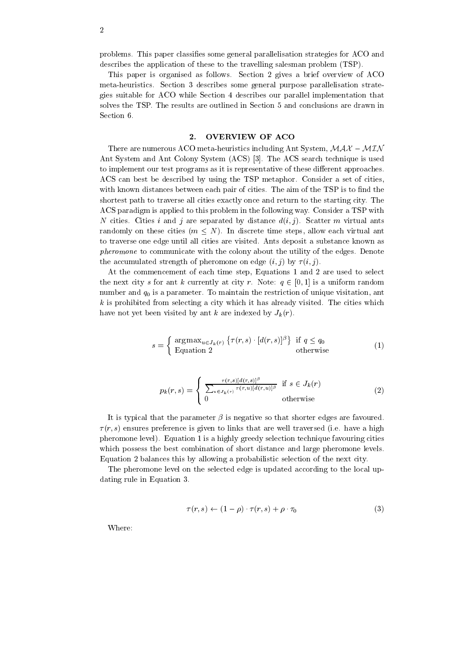2

problems. This paper classies some general parallelisation strategies for ACO and describes the application of these to the travelling salesman problem (TSP).

This paper is organised as follows. Section 2 gives a brief overview of ACO meta-heuristics. Section 3 describes some general purpose parallelisation strategies suitable for ACO while Section 4 describes our parallel implementation that solves the TSP. The results are outlined in Section 5 and conclusions are drawn in Section 6.

#### $\overline{2}$ . 2. OVERVIEW OF ACO

There are numerous ACO meta-heuristics including Ant System,  $MAX - MIN$ Ant System and Ant Colony System (ACS) [3]. The ACS search technique is used to implement our test programs as it is representative of these different approaches. ACS can best be described by using the TSP metaphor. Consider a set of cities, with known distances between each pair of cities. The aim of the TSP is to find the shortest path to traverse all cities exactly once and return to the starting city. The ACS paradigm is applied to this problem in the following way. Consider a TSP with N cities. Cities i and j are separated by distance  $d(i, j)$ . Scatter m virtual ants randomly on these cities  $(m \leq N)$ . In discrete time steps, allow each virtual ant to traverse one edge until all cities are visited. Ants deposit a substance known as pheromone to communicate with the colony about the utility of the edges. Denote the accumulated strength of pheromone on edge  $(i, j)$  by  $\tau(i, j)$ .

At the commencement of each time step, Equations 1 and 2 are used to select the next city s for ant k currently at city r. Note:  $q \in [0, 1]$  is a uniform random number and  $q_0$  is a parameter. To maintain the restriction of unique visitation, ant  $k$  is prohibited from selecting a city which it has already visited. The cities which have not yet been visited by ant k are indexed by  $J_k(r)$ .

$$
s = \begin{cases} \arg \max_{u \in J_k(r)} \left\{ \tau(r, s) \cdot [d(r, s)]^{\beta} \right\} & \text{if } q \le q_0 \\ \text{Equation 2} & \text{otherwise} \end{cases}
$$
 (1)

$$
p_k(r,s) = \begin{cases} \frac{\tau(r,s)[d(r,s)]^{\beta}}{\sum_{u \in J_k(r)} \tau(r,u)[d(r,u)]^{\beta}} & \text{if } s \in J_k(r) \\ 0 & \text{otherwise} \end{cases}
$$
(2)

It is typical that the parameter  $\beta$  is negative so that shorter edges are favoured.  $\tau(r, s)$  ensures preference is given to links that are well traversed (i.e. have a high pheromone level). Equation 1 is a highly greedy selection technique favouring cities which possess the best combination of short distance and large pheromone levels. Equation 2 balances this by allowing a probabilistic selection of the next city.

The pheromone level on the selected edge is updated according to the local updating rule in Equation 3.

$$
\tau(r,s) \leftarrow (1-\rho) \cdot \tau(r,s) + \rho \cdot \tau_0 \tag{3}
$$

Where: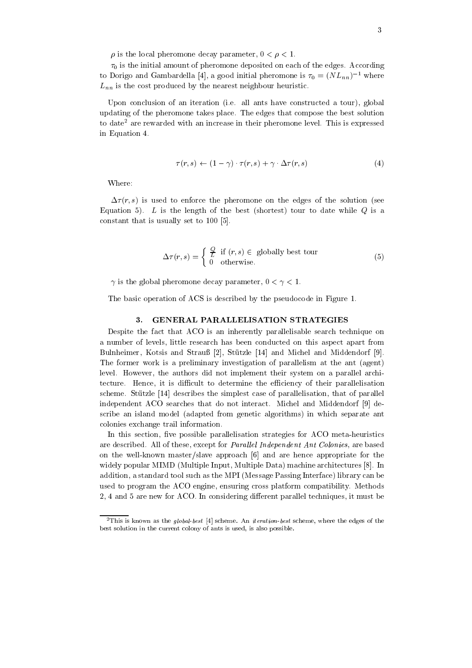$\rho$  is the local pheromone decay parameter,  $0 < \rho < 1$ .

 $\tau_0$  is the initial amount of pheromone deposited on each of the edges. According to Dorigo and Gambardella [4], a good initial pheromone is  $\tau_0 = (NL_{nn})^{-1}$  where  $L_{nn}$  is the cost produced by the nearest neighbour heuristic.

Upon conclusion of an iteration (i.e. all ants have constructed a tour), global updating of the pheromone takes place. The edges that compose the best solution to date<sup>2</sup> are rewarded with an increase in their pheromone level. This is expressed in Equation 4.

$$
\tau(r,s) \leftarrow (1-\gamma) \cdot \tau(r,s) + \gamma \cdot \Delta \tau(r,s) \tag{4}
$$

Where:

 $\Delta \tau(r, s)$  is used to enforce the pheromone on the edges of the solution (see Equation 5). L is the length of the best (shortest) tour to date while  $Q$  is a constant that is usually set to 100 [5].

$$
\Delta \tau(r,s) = \begin{cases} \frac{Q}{L} & \text{if } (r,s) \in \text{ globally best tour} \\ 0 & \text{otherwise.} \end{cases}
$$
 (5)

 $\gamma$  is the global pheromone decay parameter,  $0 < \gamma < 1$ .

The basic operation of ACS is described by the pseudocode in Figure 1.

#### 3. GENERAL PARALLELISATION STRATEGIES

Despite the fact that ACO is an inherently parallelisable search technique on a number of levels, little research has been conducted on this aspect apart from Bulnheimer, Kotsis and Strauß [2], Stützle [14] and Michel and Middendorf [9]. The former work is a preliminary investigation of parallelism at the ant (agent) level. However, the authors did not implement their system on aparallel architecture. Hence, it is difficult to determine the efficiency of their parallelisation scheme. Stutzle [14] describes the simplest case of parallelisation, that of parallel independent ACO searches that do not interact. Michel and Middendorf [9] describe an island model (adapted from genetic algorithms) in which separate ant colonies exchange trail information.

In this section, five possible parallelisation strategies for ACO meta-heuristics are described. All of these, except for *Parallel Independent Ant Colonies*, are based on the well-known master/slave approach [6] and are hence appropriate for the widely popular MIMD (Multiple Input, Multiple Data) machine architectures [8]. In addition, a standard tool such as the MPI (Message Passing Interface) library can be used to program the ACO engine, ensuring cross platform compatibility. Methods 2, 4 and 5 are new for ACO. In considering different parallel techniques, it must be

 $\overline{P}$ This is known as the global-best [4] scheme. An *iteration-best* scheme, where the edges of the best solution in the current colony of ants is used, is also possible.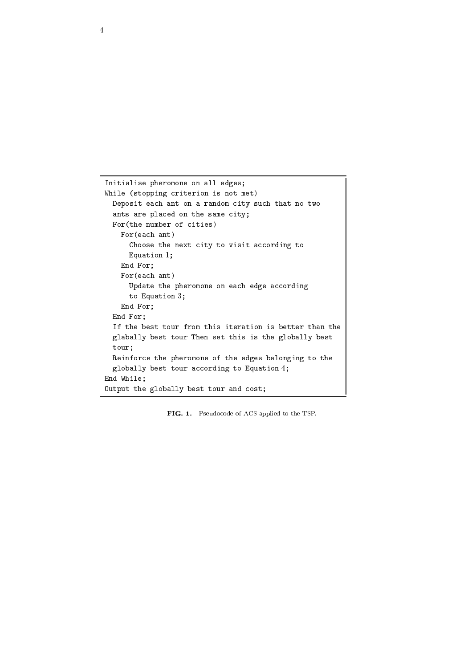```
Initialise pheromone on all edges;
m = 1 (stopping criterion is not met)
  Deposit each ant on a random city such that no two
  ants are present on the same critically
  For(the number of cities)
    For(each ant)
       Choose the next city to visit according to
       Equation 1;
    E = E E = 0For(each ant)
       Update the pheromone on each edge according
       t \sim T . The Equation 3 T and 3; T and 3; T and 3; T and 3; T and 3; T and 3; T and 3; T and 3; T and 3; T and 3; T and 3; T and 3; T and 3; T and 3; T and 3; T and 3; T and 3; T and 3;
    E = E E = 0End For;
  If the best tour from this iteration is better than the state of the state of the state of the state of the st
  gens best tour tour the set this is the get the set the set of the set of the set of the set of the set of the
 tour;Reinforce the pheromone of the edges belonging to the
  grobally best tour according to Equation 4;
End While;
Output the globally best tour and cost;
```
FIG. 1. Pseudocode of ACS applied to the TSP.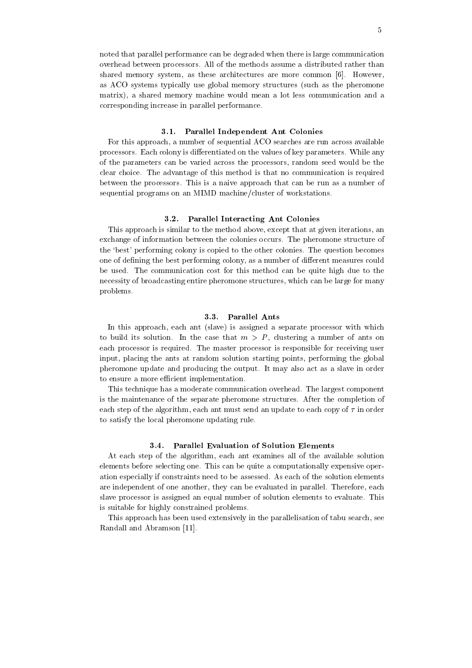noted that parallel performance can be degraded when there is large communication overhead between processors. All of the methods assume a distributed rather than shared memory system, as these architectures are more common [6]. However, as ACO systems typically use global memory structures (such as the pheromone matrix), a shared memory machine would mean a lot less communication and a corresponding increase in parallel performance.

#### 3.1. Parallel Independent Ant Colonies

For this approach, a number of sequential ACO searches are run across available processors. Each colony is differentiated on the values of key parameters. While any of the parameters can be varied across the processors, random seed would be the clear choice. The advantage of this method is that no communication is required between the processors. This is a naive approach that can be run as a number of sequential programs on an MIMD machine/cluster of workstations.

#### 3.2. Parallel Interacting Ant Colonies

This approach is similar to the method above, except that at given iterations, an exchange of information between the colonies occurs. The pheromone structure of the `best' performing colony is copied to the other colonies. The question becomes one of defining the best performing colony, as a number of different measures could be used. The communication cost for this method can be quite high due to the necessity of broadcasting entire pheromone structures, which can be large for many problems.

#### 3.3. Parallel Ants

In this approach, each ant (slave) is assigned a separate processor with which to build its solution. In the case that  $m > P$ , clustering a number of ants on each processor is required. The master processor is responsible for receiving user input, placing the ants at random solution starting points, performing the global pheromone update and producing the output. It may also act as a slave in order to ensure a more efficient implementation.

This technique has a moderate communication overhead. The largest component is the maintenance of the separate pheromone structures. After the completion of each step of the algorithm, each ant must send an update to each copy of  $\tau$  in order to satisfy the local pheromone updating rule.

#### 3.4. Parallel Evaluation of Solution Elements

At each step of the algorithm, each ant examines all of the available solution elements before selecting one. This can be quite a computationally expensive operation especially if constraints need to be assessed. As each of the solution elements are independent of one another, they can be evaluated in parallel. Therefore, each slave processor is assigned an equal number of solution elements to evaluate. This is suitable for highly constrained problems.

This approach has been used extensively in the parallelisation of tabu search, see Randall and Abramson [11].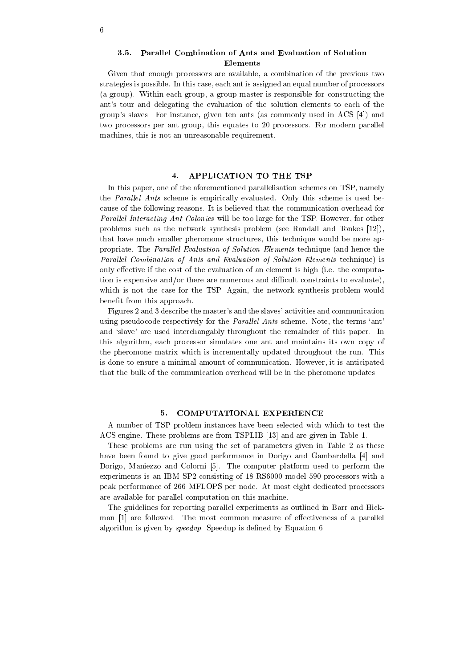#### 3.5. Parallel Combination of Ants and Evaluation of Solution Elements

Given that enough processors are available, a combination of the previous two strategies is possible. In this case, each ant is assigned an equal number of processors (a group). Within each group, a group master is responsible for constructing the ant's tour and delegating the evaluation of the solution elements to each of the group's slaves. For instance, given ten ants (as commonly used in ACS [4]) and two processors per ant group, this equates to 20 processors. For modern parallel machines, this is not an unreasonable requirement.

#### 4. APPLICATION TO THE TSP

In this paper, one of the aforementioned parallelisation schemes on TSP, namely the *Parallel Ants* scheme is empirically evaluated. Only this scheme is used because of the following reasons. It is believed that the communication overhead for Parallel Interacting Ant Colonies will be too large for the TSP. However, for other problems such as the network synthesis problem (see Randall and Tonkes [12]), that have much smaller pheromone structures, this technique would be more appropriate. The *Parallel Evaluation of Solution Elements* technique (and hence the Parallel Combination of Ants and Evaluation of Solution Elements technique) is only effective if the cost of the evaluation of an element is high (i.e. the computation is expensive and/or there are numerous and difficult constraints to evaluate), which is not the case for the TSP. Again, the network synthesis problem would benefit from this approach.

Figures 2 and 3 describe the master's and the slaves' activities and communication using pseudocode respectively for the *Parallel Ants* scheme. Note, the terms 'ant' and 'slave' are used interchangably throughout the remainder of this paper. In this algorithm, each processor simulates one ant and maintains its own copy of the pheromone matrix which is incrementally updated throughout the run. This is done to ensure a minimal amount of communication. However, it is anticipated that the bulk of the communication overhead will be in the pheromone updates.

### 5. COMPUTATIONAL EXPERIENCE

A number of TSP problem instances have been selected with which to test the ACS engine. These problems are from TSPLIB [13] and are given in Table 1.

These problems are run using the set of parameters given in Table 2 as these have been found to give good performance in Dorigo and Gambardella [4] and Dorigo, Maniezzo and Colorni [5]. The computer platform used to perform the experiments is an IBM SP2 consisting of 18 RS6000 model 590 processors with a peak performance of 266 MFLOPS per node. At most eight dedicated processors are available for parallel computation on this machine.

The guidelines for reporting parallel experiments as outlined in Barr and Hickman [1] are followed. The most common measure of effectiveness of a parallel algorithm is given by speedup. Speedup is defined by Equation 6.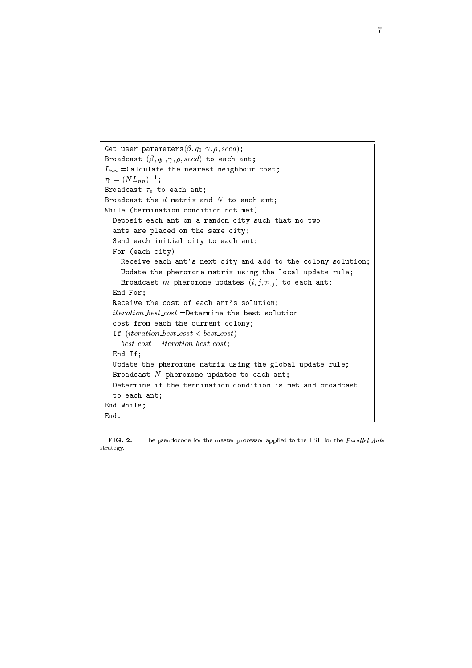```
Get user parameters(; q0; 
 ; ; seed);
B = 0 and B = \{p, q, q, r, p, q, s, \ldots \} to each and qL_{nn} =Calculate the nearest neighbour cost;
\tau_0 = (NL_{nn})^{-1};Broadcast 0 to each ant;
Broadcast the distribution and \sim to each and the distribution of the distribution of the distribution of the distribution of the distribution of the distribution of the distribution of the distribution of the distributi
while (termination condition at \simDeposit each ant on a random city such that it one to
  ants are placed on the same city; where \alphasena cach initial city; to cach ant;
  For (each city)
     Receive each ant's next city and add to the colony solution;
     Update the pheromone matrix using the local update rule;
     B = 0 and B = 0 is the pheromone update s \{v_i, j, i, j, j, \ldots\} to each and jE = E E = 0Receive the cost of each ant's solution;
  iteration best cost =Determine the best solution
  cost from each the current colony;
  \blacksquare (iteration best cost \sim best cost)
    best\_cost = iteration\_best\_cost;E = E E = 1Update the pheromone matrix using the global update rule;
  Broadcast N pheromone updates to each ant;
  Determine it the termination contains the second and broadcast and broadcast and broadcast and broadcast and b
  to each ant;
End While;
End.
```
FIG. 2. The pseudocode for the master processor applied to the TSP for the *Parallel Ants* strategy.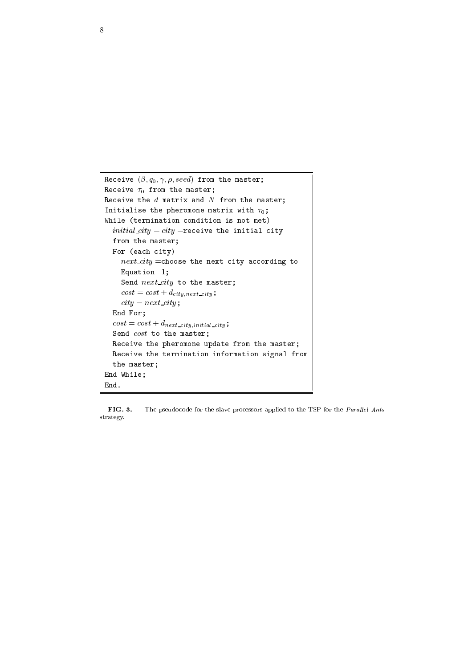```
R_{\text{rel}} \sim (p, q_0, p, p, \text{even}) from the master;
Receive 0 from the master;
Receive the distribution and not not make matrix and \mathbf{r}Initialise the pheromone matrix with 0;
while (termination is the condition is not met)
  initial city = city = receive the initial city
  f(x) = f(x) , and f(x) = f(x)For (each city)
    next\_city =choose the next city according to
     Equation 1;
     S . The master control S and S and S and S and S and S and S and S and S and S and S and S and S and S and S and S and S and S and S and S and S and S and S and S and S 
    cost = cost + d_{city,next\_city};
    city = next\_city;E = E E = 0cost = cost + d_{next\_city,initial\_city};
  Send cost to the master;
  Receive the pheromone update from the master;
  Receive the termination information signal from
  the master;
End While;
End.
```
FIG. 3. The pseudocode for the slave processors applied to the TSP for the *Parallel Ants* strategy.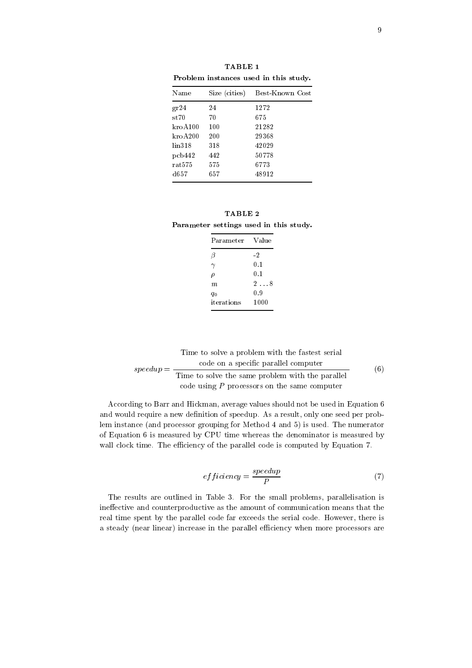| Name            | Size (cities) | Best-Known Cost |  |  |
|-----------------|---------------|-----------------|--|--|
| gr24            | 24            | 1272            |  |  |
| $\mathrm{st70}$ | 70            | 675             |  |  |
| $k$ ro $A$ 100  | 100           | 21282           |  |  |
| kroA 200        | 200           | 29368           |  |  |
| lin318          | 318           | 42029           |  |  |
| pcb442          | 442           | 50778           |  |  |
| rat575          | 575           | 6773            |  |  |
| d657            | 657           | 48912           |  |  |

TABLE 1

|                                        | TABLE 2 |  |  |  |
|----------------------------------------|---------|--|--|--|
| Parameter settings used in this study. |         |  |  |  |

| Parameter  | Value        |
|------------|--------------|
| β          | -2           |
| $\gamma$   | 0.1          |
| ρ          | 0.1          |
| m          | $2 \ldots 8$ |
| q0         | 0.9          |
| iterations | 1000         |

speedup = Time to solve a problem with the fastest serial code on a specic parallel computer Time to solve the same problem with the same problem with the parallel parallel parallel parallel parallel par code using  $P$  processors on the same computer (6)

According to Barr and Hickman, average values should not be used in Equation 6 and would require a new definition of speedup. As a result, only one seed per problem instance (and processor grouping for Method 4 and 5) is used. The numerator of Equation 6 is measured by CPU time whereas the denominator is measured by wall clock time. The efficiency of the parallel code is computed by Equation 7.

$$
efficiency = \frac{speedup}{P}
$$
 (7)

The results are outlined in Table 3. For the small problems, parallelisation is ineffective and counterproductive as the amount of communication means that the real time spent by the parallel code far exceeds the serial code. However, there is a steady (near linear) increase in the parallel efficiency when more processors are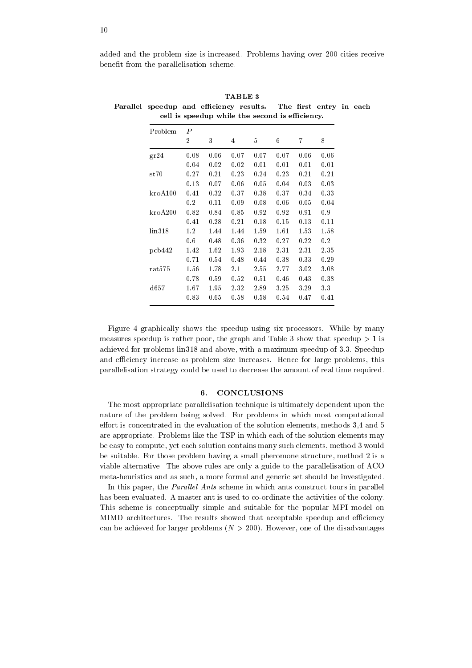added and the problem size is increased. Problems having over 200 cities receive benefit from the parallelisation scheme.

| Problem         | $\boldsymbol{P}$ |      |      |      |      |      |      |
|-----------------|------------------|------|------|------|------|------|------|
|                 | $\overline{2}$   | 3    | 4    | 5    | 6    | 7    | 8    |
| gr24            | 0.08             | 0.06 | 0.07 | 0.07 | 0.07 | 0.06 | 0.06 |
|                 | 0.04             | 0.02 | 0.02 | 0.01 | 0.01 | 0.01 | 0.01 |
| st70            | 0.27             | 0.21 | 0.23 | 0.24 | 0.23 | 0.21 | 0.21 |
|                 | 0.13             | 0.07 | 0.06 | 0.05 | 0.04 | 0.03 | 0.03 |
| $k$ ro $A$ 100  | 0.41             | 0.32 | 0.37 | 0.38 | 0.37 | 0.34 | 0.33 |
|                 | 0.2              | 0.11 | 0.09 | 0.08 | 0.06 | 0.05 | 0.04 |
| $k_{ro}A200$    | 0.82             | 0.84 | 0.85 | 0.92 | 0.92 | 0.91 | 0.9  |
|                 | 0.41             | 0.28 | 0.21 | 0.18 | 0.15 | 0.13 | 0.11 |
| lin318          | 1.2              | 1.44 | 1.44 | 1.59 | 1.61 | 1.53 | 1.58 |
|                 | 0.6              | 0.48 | 0.36 | 0.32 | 0.27 | 0.22 | 0.2  |
| pcb442          | 1.42             | 1.62 | 1.93 | 2.18 | 2.31 | 2.31 | 2.35 |
|                 | 0.71             | 0.54 | 0.48 | 0.44 | 0.38 | 0.33 | 0.29 |
| rat575          | $1.56\,$         | 1.78 | 2.1  | 2.55 | 2.77 | 3.02 | 3.08 |
|                 | 0.78             | 0.59 | 0.52 | 0.51 | 0.46 | 0.43 | 0.38 |
| $\mathrm{d}657$ | 1.67             | 1.95 | 2.32 | 2.89 | 3.25 | 3.29 | 3.3  |
|                 | 0.83             | 0.65 | 0.58 | 0.58 | 0.54 | 0.47 | 0.41 |

TABLE 3 Parallel speedup and efficiency results. The first entry in each cell is speedup while the second is efficiency.

Figure 4 graphically shows the speedup using six processors. While by many measures speedup is rather poor, the graph and Table 3 show that speedup  $> 1$  is achieved for problems lin318 and above, with a maximum speedup of 3.3. Speedup and efficiency increase as problem size increases. Hence for large problems, this parallelisation strategy could be used to decrease the amount of real time required.

#### 6. CONCLUSIONS

The most appropriate parallelisation technique is ultimately dependent upon the nature of the problem being solved. For problems in which most computational effort is concentrated in the evaluation of the solution elements, methods  $3,4$  and  $5$ are appropriate. Problems like the TSP in which each of the solution elements may be easy to compute, yet each solution contains many such elements, method 3 would be suitable. For those problem having a small pheromone structure, method 2 is a viable alternative. The above rules are only a guide to the parallelisation of ACO meta-heuristics and as such, a more formal and generic set should be investigated.

In this paper, the *Parallel Ants* scheme in which ants construct tours in parallel has been evaluated. A master ant is used to co-ordinate the activities of the colony. This scheme is conceptually simple and suitable for the popular MPI model on MIMD architectures. The results showed that acceptable speedup and efficiency can be achieved for larger problems  $(N > 200)$ . However, one of the disadvantages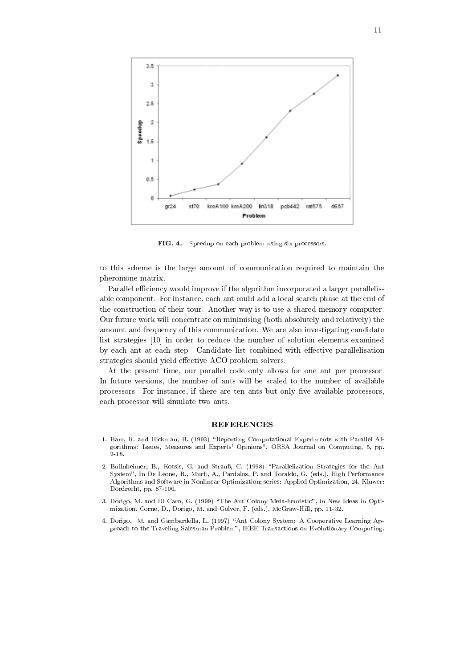

FIG. 4. Speedup on each problem using six processors.

to this scheme is the large amount of communication required to maintain the pheromone matrix.

Parallel efficiency would improve if the algorithm incorporated a larger parallelisable component. For instance, each ant could add a local search phase at the end of the construction of their tour. Another way is to use a shared memory computer. Our future work will concentrate on minimising (both absolutely and relatively) the amount and frequency of this communication. We are also investigating candidate list strategies [10] in order to reduce the number of solution elements examined by each ant at each step. Candidate list combined with effective parallelisation strategies should yield effective ACO problem solvers.

At the present time, our parallel code only allows for one ant per processor. In future versions, the number of ants will be scaled to the number of available processors. For instance, if there are ten ants but only five available processors, each processor will simulate two ants.

#### REFERENCES

- 1. Barr, R. and Hickman, B. (1993) "Reporting Computational Experiments with Parallel Algorithms: Issues, Measures and Experts' Opinions", ORSA Journal on Computing, 5, pp.  $2 - 18$ .
- 2. Bullnheimer, B., Kotsis, G. and Strauß, C. (1998) "Parallelization Strategies for the Ant System", In De Leone, R., Murli, A., Pardalos, P. and Toraldo, G. (eds.), High Performance Algorithms and Software in Nonlinear Optimization; series: Applied Optimization, 24, Kluwer: Dordrecht, pp. 87-100.
- 3. Dorigo, M. and Di Caro, G. (1999) \The Ant Colony Meta-heuristic", in New Ideas in Optimization, Corne, D., Dorigo, M. and Golver, F. (eds.), McGraw-Hill, pp. 11-32.
- 4. Dorigo, M. and Gambardella, L. (1997) "Ant Colony System: A Cooperative Learning Approach to the Traveling Salesman Problem", IEEE Transactions on Evolutionary Computing.